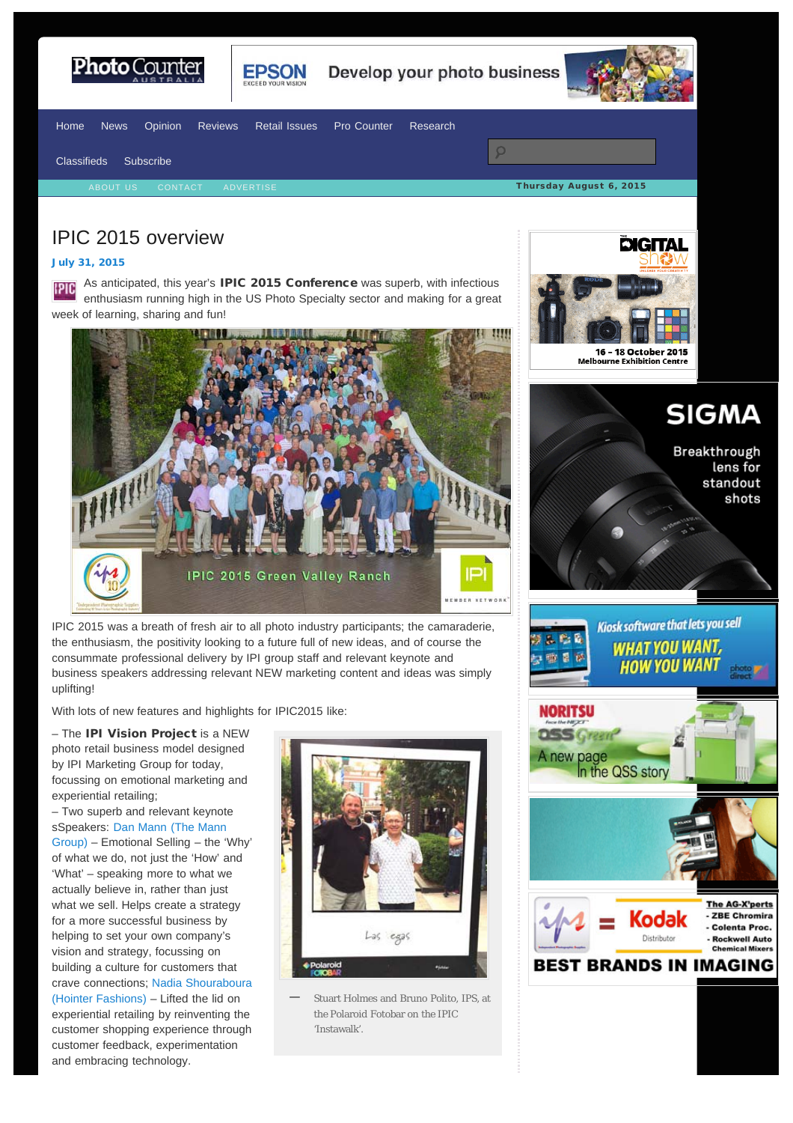<span id="page-0-0"></span>



Develop your photo business



[Home](http://www.photocounter.com.au/) [News](http://www.photocounter.com.au/category/news/) [Opinion](http://www.photocounter.com.au/category/opinion/) [Reviews](http://www.photoreview.com.au/reviews/) [Retail Issues](http://www.photocounter.com.au/category/retail-issues/) [Pro Counter](http://procounter.com.au/) [Research](http://www.photocounter.com.au/category/research/)  $\overline{Q}$ [Classifieds](http://www.photocounter.com.au/category/classifieds/) [Subscribe](http://www.photocounter.com.au/subscribe/) Thursday August 6, 2015

## IPIC 2015 overview

## [July 31, 2015](#page-0-0)

As anticipated, this year's IPIC 2015 Conference was superb, with infectious **SIGI** enthusiasm running high in the US Photo Specialty sector and making for a great week of learning, sharing and fun!



IPIC 2015 was a breath of fresh air to all photo industry participants; the camaraderie, the enthusiasm, the positivity looking to a future full of new ideas, and of course the consummate professional delivery by IPI group staff and relevant keynote and business speakers addressing relevant NEW marketing content and ideas was simply uplifting!

With lots of new features and highlights for IPIC2015 like:

– The IPI Vision Project is a NEW photo retail business model designed by IPI Marketing Group for today, focussing on emotional marketing and experiential retailing;

– Two superb and relevant keynote sSpeakers: [Dan Mann \(The Mann](http://www.manngroup.net/the-company/) [Group\) –](http://www.manngroup.net/the-company/) Emotional Selling – the 'Why' of what we do, not just the 'How' and 'What' – speaking more to what we actually believe in, rather than just what we sell. Helps create a strategy for a more successful business by helping to set your own company's vision and strategy, focussing on building a culture for customers that crave connections; [Nadia Shouraboura](http://www.hointer.com/main_aboutus.html) [\(Hointer Fashions\)](http://www.hointer.com/main_aboutus.html) – Lifted the lid on experiential retailing by reinventing the customer shopping experience through customer feedback, experimentation and embracing technology.



Stuart Holmes and Bruno Polito, IPS, at the Polaroid Fotobar on the IPIC 'Instawalk'. **—**



**SIGMA** 

Breakthrough lens for standout shots